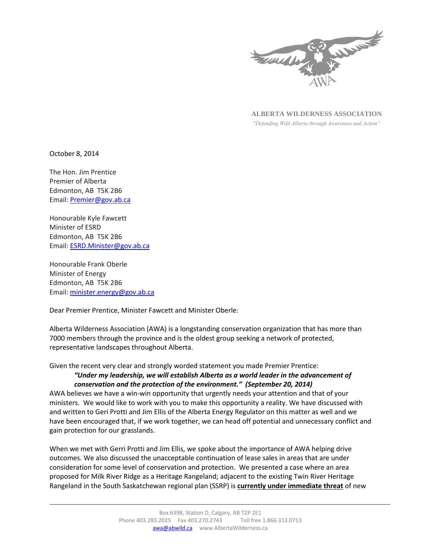

**ALBERTA WILDERNESS ASSOCIATION**

*"Defending Wild Alberta through Awareness and Action"*

October 8, 2014

The Hon. Jim Prentice Premier of Alberta Edmonton, AB T5K 2B6 Email: [Premier@gov.ab.ca](mailto:Premier@gov.ab.ca)

Honourable Kyle Fawcett Minister of ESRD Edmonton, AB T5K 2B6 Email: [ESRD.Minister@gov.ab.ca](mailto:ESRD.Minister@gov.ab.ca)

Honourable Frank Oberle Minister of Energy Edmonton, AB T5K 2B6 Email: [minister.energy@gov.ab.ca](mailto:minister.energy@gov.ab.ca)

Dear Premier Prentice, Minister Fawcett and Minister Oberle:

Alberta Wilderness Association (AWA) is a longstanding conservation organization that has more than 7000 members through the province and is the oldest group seeking a network of protected, representative landscapes throughout Alberta.

Given the recent very clear and strongly worded statement you made Premier Prentice:

## *"Under my leadership, we will establish Alberta as a world leader in the advancement of conservation and the protection of the environment." (September 20, 2014)*

AWA believes we have a win-win opportunity that urgently needs your attention and that of your ministers. We would like to work with you to make this opportunity a reality. We have discussed with and written to Geri Protti and Jim Ellis of the Alberta Energy Regulator on this matter as well and we have been encouraged that, if we work together, we can head off potential and unnecessary conflict and gain protection for our grasslands.

When we met with Gerri Protti and Jim Ellis, we spoke about the importance of AWA helping drive outcomes. We also discussed the unacceptable continuation of lease sales in areas that are under consideration for some level of conservation and protection. We presented a case where an area proposed for Milk River Ridge as a Heritage Rangeland; adjacent to the existing Twin River Heritage Rangeland in the South Saskatchewan regional plan (SSRP) is **currently under immediate threat** of new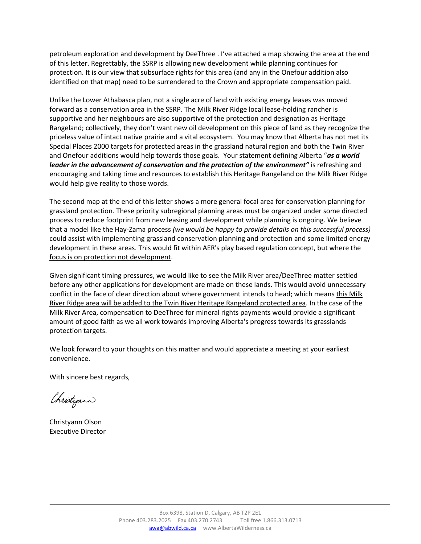petroleum exploration and development by DeeThree . I've attached a map showing the area at the end of this letter. Regrettably, the SSRP is allowing new development while planning continues for protection. It is our view that subsurface rights for this area (and any in the Onefour addition also identified on that map) need to be surrendered to the Crown and appropriate compensation paid.

Unlike the Lower Athabasca plan, not a single acre of land with existing energy leases was moved forward as a conservation area in the SSRP. The Milk River Ridge local lease-holding rancher is supportive and her neighbours are also supportive of the protection and designation as Heritage Rangeland; collectively, they don't want new oil development on this piece of land as they recognize the priceless value of intact native prairie and a vital ecosystem. You may know that Alberta has not met its Special Places 2000 targets for protected areas in the grassland natural region and both the Twin River and Onefour additions would help towards those goals. Your statement defining Alberta "*as a world leader in the advancement of conservation and the protection of the environment"* is refreshing and encouraging and taking time and resources to establish this Heritage Rangeland on the Milk River Ridge would help give reality to those words.

The second map at the end of this letter shows a more general focal area for conservation planning for grassland protection. These priority subregional planning areas must be organized under some directed process to reduce footprint from new leasing and development while planning is ongoing. We believe that a model like the Hay-Zama process *(we would be happy to provide details on this successful process)* could assist with implementing grassland conservation planning and protection and some limited energy development in these areas. This would fit within AER's play based regulation concept, but where the focus is on protection not development.

Given significant timing pressures, we would like to see the Milk River area/DeeThree matter settled before any other applications for development are made on these lands. This would avoid unnecessary conflict in the face of clear direction about where government intends to head; which means this Milk River Ridge area will be added to the Twin River Heritage Rangeland protected area. In the case of the Milk River Area, compensation to DeeThree for mineral rights payments would provide a significant amount of good faith as we all work towards improving Alberta's progress towards its grasslands protection targets.

We look forward to your thoughts on this matter and would appreciate a meeting at your earliest convenience.

With sincere best regards,

Christyan

Christyann Olson Executive Director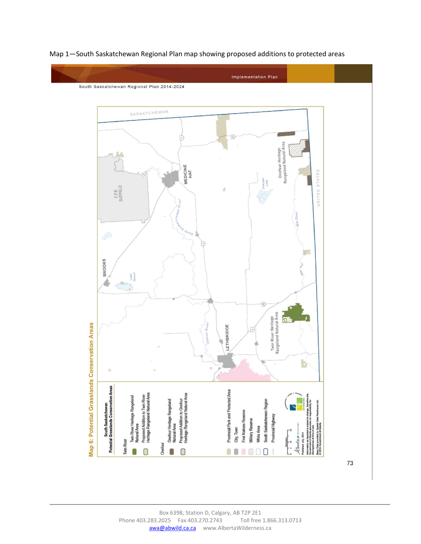

Map 1—South Saskatchewan Regional Plan map showing proposed additions to protected areas